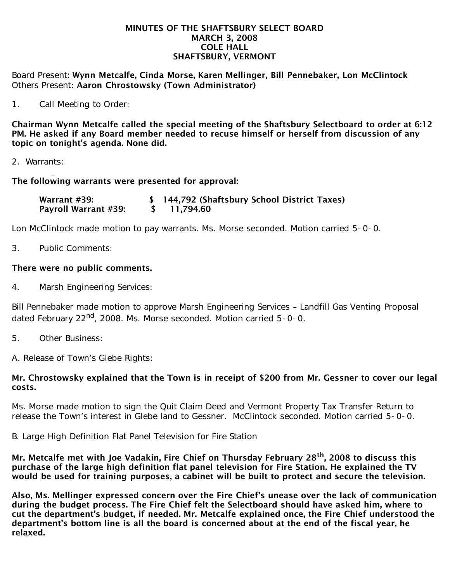## MINUTES OF THE SHAFTSBURY SELECT BOARD MARCH 3, 2008 COLE HALL SHAFTSBURY, VERMONT

Board Present: Wynn Metcalfe, Cinda Morse, Karen Mellinger, Bill Pennebaker, Lon McClintock Others Present: Aaron Chrostowsky (Town Administrator)

1. Call Meeting to Order:

Chairman Wynn Metcalfe called the special meeting of the Shaftsbury Selectboard to order at 6:12 PM. He asked if any Board member needed to recuse himself or herself from discussion of any topic on tonight's agenda. None did.

2. Warrants:

## The following warrants were presented for approval:

| Warrant #39:                | \$ 144,792 (Shaftsbury School District Taxes) |
|-----------------------------|-----------------------------------------------|
| <b>Payroll Warrant #39:</b> | \$11,794.60                                   |

Lon McClintock made motion to pay warrants. Ms. Morse seconded. Motion carried 5-0-0.

3. Public Comments:

## There were no public comments.

4. Marsh Engineering Services:

Bill Pennebaker made motion to approve Marsh Engineering Services – Landfill Gas Venting Proposal dated February 22<sup>nd</sup>, 2008. Ms. Morse seconded. Motion carried 5-0-0.

5. Other Business:

A. Release of Town's Glebe Rights:

## Mr. Chrostowsky explained that the Town is in receipt of \$200 from Mr. Gessner to cover our legal costs.

Ms. Morse made motion to sign the Quit Claim Deed and Vermont Property Tax Transfer Return to release the Town's interest in Glebe land to Gessner. McClintock seconded. Motion carried 5-0-0.

B. Large High Definition Flat Panel Television for Fire Station

Mr. Metcalfe met with Joe Vadakin, Fire Chief on Thursday February 28<sup>th</sup>, 2008 to discuss this purchase of the large high definition flat panel television for Fire Station. He explained the TV would be used for training purposes, a cabinet will be built to protect and secure the television.

Also, Ms. Mellinger expressed concern over the Fire Chief's unease over the lack of communication during the budget process. The Fire Chief felt the Selectboard should have asked him, where to cut the department's budget, if needed. Mr. Metcalfe explained once, the Fire Chief understood the department's bottom line is all the board is concerned about at the end of the fiscal year, he relaxed.